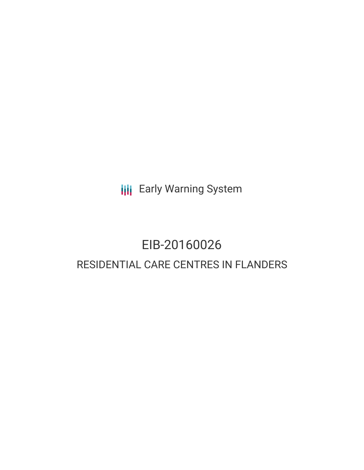**III** Early Warning System

# EIB-20160026 RESIDENTIAL CARE CENTRES IN FLANDERS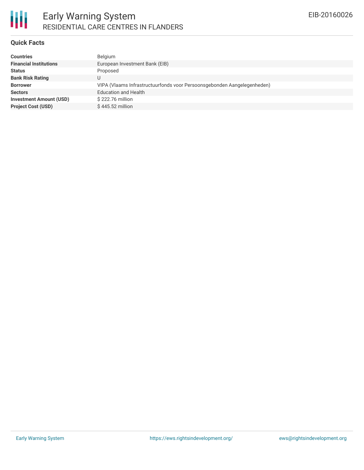

# Early Warning System RESIDENTIAL CARE CENTRES IN FLANDERS

## **Quick Facts**

| <b>Countries</b>               | Belgium                                                                 |
|--------------------------------|-------------------------------------------------------------------------|
| <b>Financial Institutions</b>  | European Investment Bank (EIB)                                          |
| <b>Status</b>                  | Proposed                                                                |
| <b>Bank Risk Rating</b>        |                                                                         |
| <b>Borrower</b>                | VIPA (Vlaams Infrastructuurfonds voor Persoonsgebonden Aangelegenheden) |
| <b>Sectors</b>                 | <b>Education and Health</b>                                             |
| <b>Investment Amount (USD)</b> | \$222.76 million                                                        |
| <b>Project Cost (USD)</b>      | \$445.52 million                                                        |
|                                |                                                                         |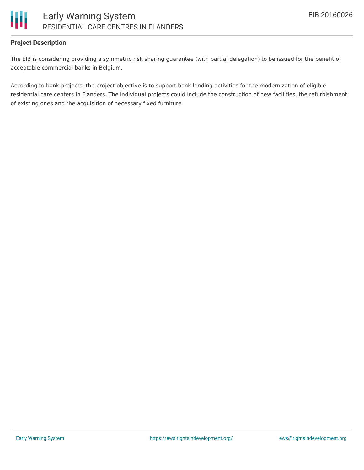

# **Project Description**

The EIB is considering providing a symmetric risk sharing guarantee (with partial delegation) to be issued for the benefit of acceptable commercial banks in Belgium.

According to bank projects, the project objective is to support bank lending activities for the modernization of eligible residential care centers in Flanders. The individual projects could include the construction of new facilities, the refurbishment of existing ones and the acquisition of necessary fixed furniture.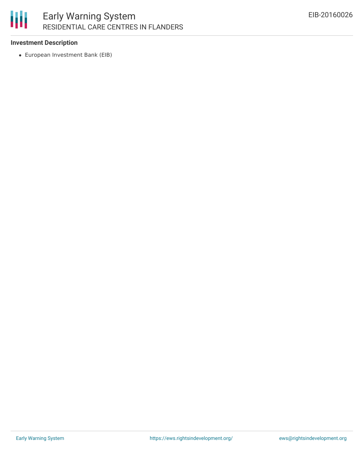# 朋 Early Warning System RESIDENTIAL CARE CENTRES IN FLANDERS

## **Investment Description**

European Investment Bank (EIB)